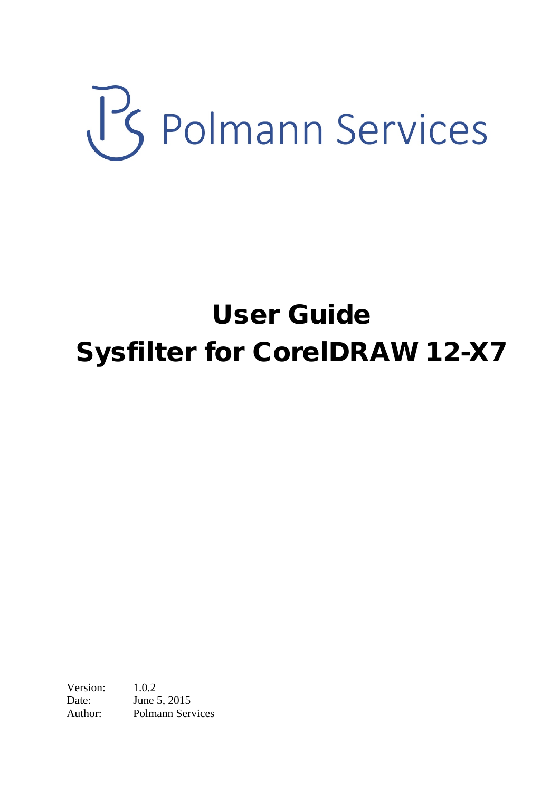# US Polmann Services

# User Guide Sysfilter for CorelDRAW 12-X7

Version: 1.0.2 Date: **June 5, 2015** Author: Polmann Services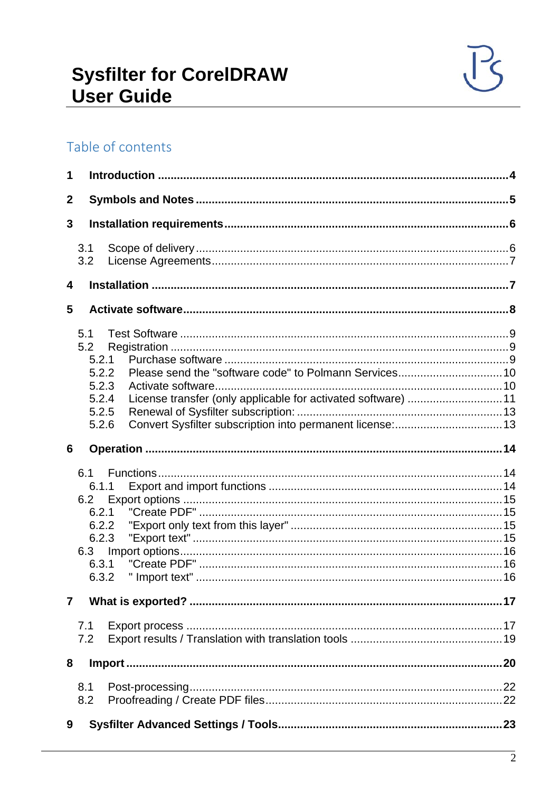# Table of contents

| 1                |                                                                         |                                                               |  |
|------------------|-------------------------------------------------------------------------|---------------------------------------------------------------|--|
| $\boldsymbol{2}$ |                                                                         |                                                               |  |
| 3                |                                                                         |                                                               |  |
|                  | 3.1<br>3.2                                                              |                                                               |  |
| 4                |                                                                         |                                                               |  |
| 5                |                                                                         |                                                               |  |
|                  | 5.1<br>5.2<br>5.2.1<br>5.2.2<br>5.2.3<br>5.2.4<br>5.2.5<br>5.2.6        | License transfer (only applicable for activated software)  11 |  |
| 6                |                                                                         |                                                               |  |
|                  | 6.1<br>6.1.1<br>6.2<br>6.2.1<br>6.2.2<br>6.2.3<br>6.3<br>6.3.1<br>6.3.2 |                                                               |  |
| $\overline{7}$   |                                                                         |                                                               |  |
|                  | 7.1<br>7.2                                                              |                                                               |  |
| 8                |                                                                         |                                                               |  |
|                  | 8.1<br>8.2                                                              |                                                               |  |
| 9                |                                                                         |                                                               |  |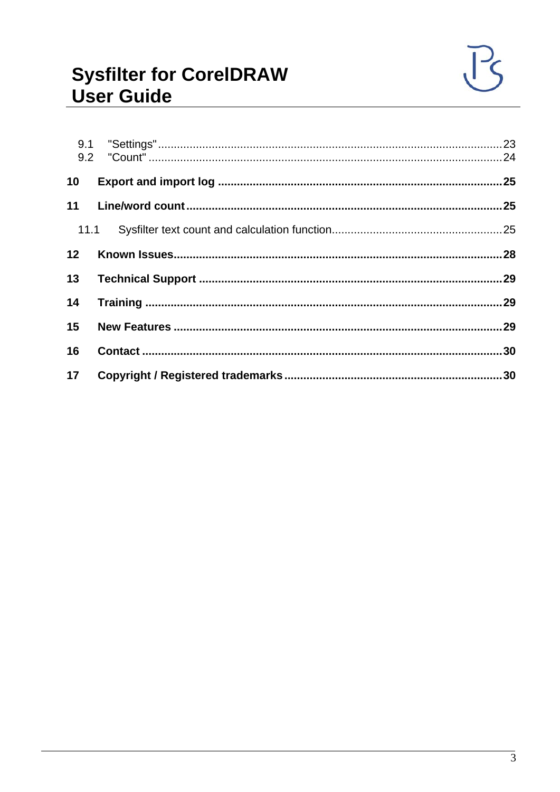| 10 <sup>°</sup> |  |
|-----------------|--|
| 11              |  |
| 11.1            |  |
| 12 <sup>7</sup> |  |
| 13              |  |
| 14              |  |
| 15              |  |
| 16              |  |
| 17              |  |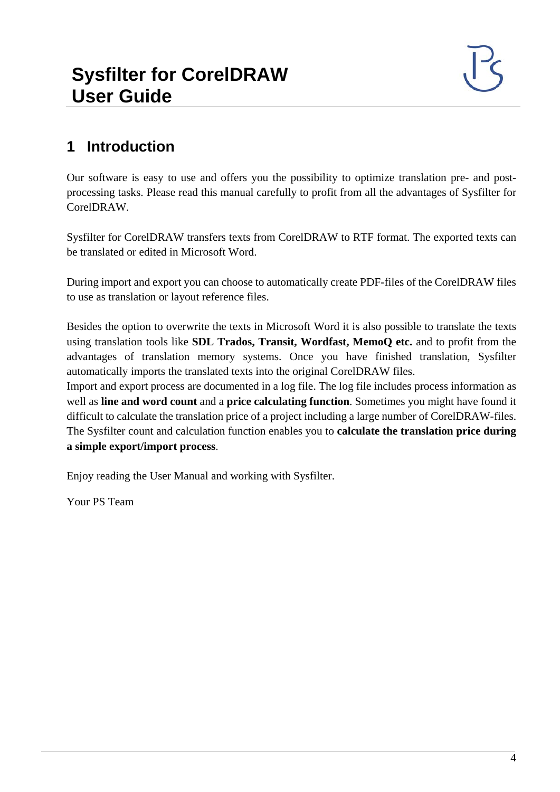# <span id="page-3-0"></span>**1 Introduction**

Our software is easy to use and offers you the possibility to optimize translation pre- and postprocessing tasks. Please read this manual carefully to profit from all the advantages of Sysfilter for CorelDRAW.

Sysfilter for CorelDRAW transfers texts from CorelDRAW to RTF format. The exported texts can be translated or edited in Microsoft Word.

During import and export you can choose to automatically create PDF-files of the CorelDRAW files to use as translation or layout reference files.

Besides the option to overwrite the texts in Microsoft Word it is also possible to translate the texts using translation tools like **SDL Trados, Transit, Wordfast, MemoQ etc.** and to profit from the advantages of translation memory systems. Once you have finished translation, Sysfilter automatically imports the translated texts into the original CorelDRAW files.

Import and export process are documented in a log file. The log file includes process information as well as **line and word count** and a **price calculating function**. Sometimes you might have found it difficult to calculate the translation price of a project including a large number of CorelDRAW-files. The Sysfilter count and calculation function enables you to **calculate the translation price during a simple export/import process**.

Enjoy reading the User Manual and working with Sysfilter.

Your PS Team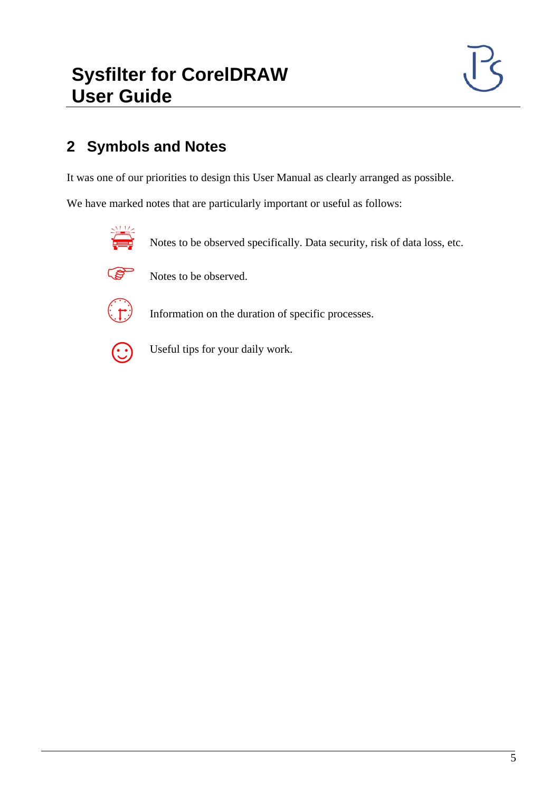## <span id="page-4-0"></span>**2 Symbols and Notes**

It was one of our priorities to design this User Manual as clearly arranged as possible.

We have marked notes that are particularly important or useful as follows:



Notes to be observed specifically. Data security, risk of data loss, etc.



Notes to be observed.



Information on the duration of specific processes.



Useful tips for your daily work.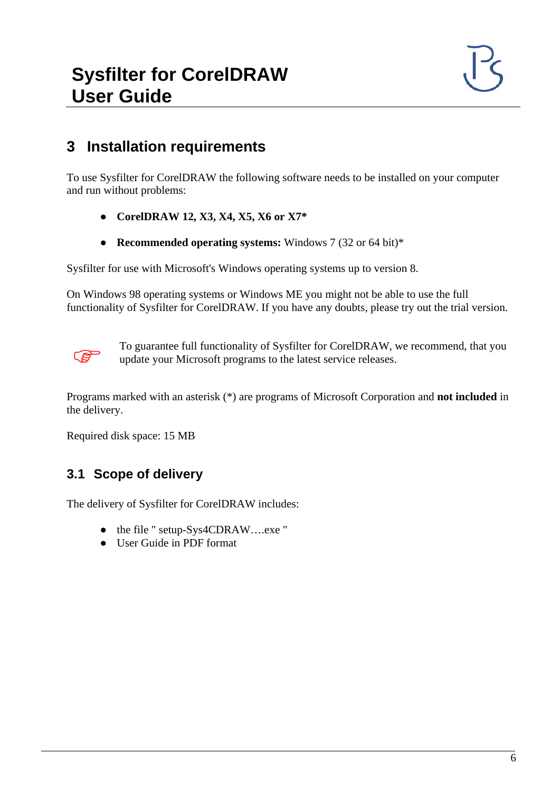#### <span id="page-5-0"></span>**3 Installation requirements**

To use Sysfilter for CorelDRAW the following software needs to be installed on your computer and run without problems:

- **CorelDRAW 12, X3, X4, X5, X6 or X7\***
- **Recommended operating systems:** Windows 7 (32 or 64 bit)\*

Sysfilter for use with Microsoft's Windows operating systems up to version 8.

On Windows 98 operating systems or Windows ME you might not be able to use the full functionality of Sysfilter for CorelDRAW. If you have any doubts, please try out the trial version.



To guarantee full functionality of Sysfilter for CorelDRAW, we recommend, that you update your Microsoft programs to the latest service releases.

Programs marked with an asterisk (\*) are programs of Microsoft Corporation and **not included** in the delivery.

Required disk space: 15 MB

#### <span id="page-5-1"></span>**3.1 Scope of delivery**

The delivery of Sysfilter for CorelDRAW includes:

- the file " setup-Sys4CDRAW....exe "
- User Guide in PDF format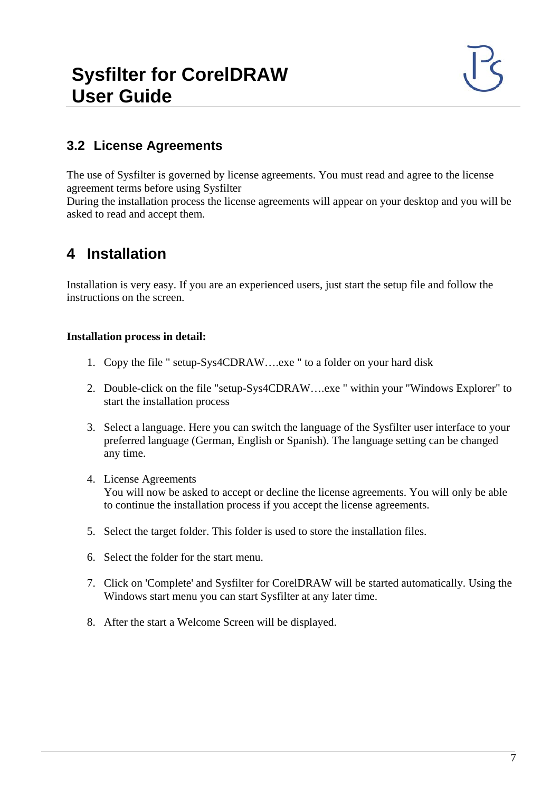#### <span id="page-6-0"></span>**3.2 License Agreements**

The use of Sysfilter is governed by license agreements. You must read and agree to the license agreement terms before using Sysfilter

During the installation process the license agreements will appear on your desktop and you will be asked to read and accept them.

## <span id="page-6-1"></span>**4 Installation**

Installation is very easy. If you are an experienced users, just start the setup file and follow the instructions on the screen.

#### **Installation process in detail:**

- 1. Copy the file " setup-Sys4CDRAW….exe " to a folder on your hard disk
- 2. Double-click on the file "setup-Sys4CDRAW….exe " within your "Windows Explorer" to start the installation process
- 3. Select a language. Here you can switch the language of the Sysfilter user interface to your preferred language (German, English or Spanish). The language setting can be changed any time.
- 4. License Agreements You will now be asked to accept or decline the license agreements. You will only be able to continue the installation process if you accept the license agreements.
- 5. Select the target folder. This folder is used to store the installation files.
- 6. Select the folder for the start menu.
- 7. Click on 'Complete' and Sysfilter for CorelDRAW will be started automatically. Using the Windows start menu you can start Sysfilter at any later time.
- 8. After the start a Welcome Screen will be displayed.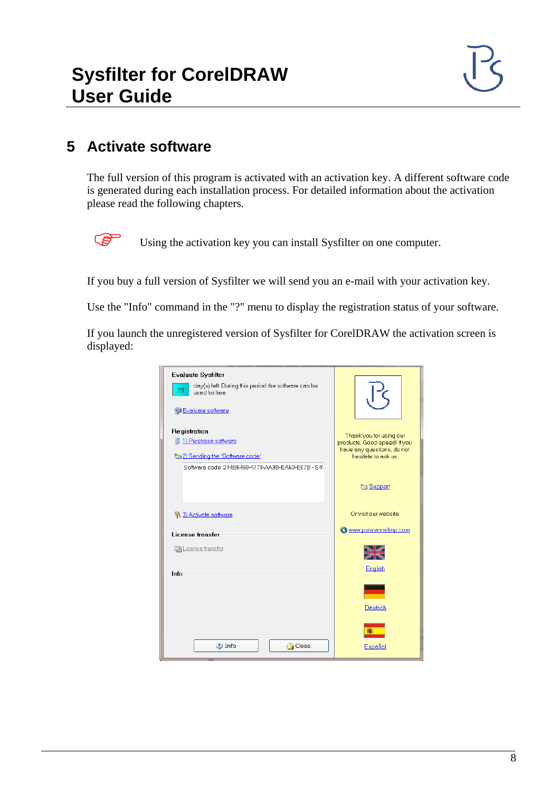### <span id="page-7-0"></span>**5 Activate software**

The full version of this program is activated with an activation key. A different software code is generated during each installation process. For detailed information about the activation please read the following chapters.

Using the activation key you can install Sysfilter on one computer.

If you buy a full version of Sysfilter we will send you an e-mail with your activation key.

Use the "Info" command in the "?" menu to display the registration status of your software.

If you launch the unregistered version of Sysfilter for CorelDRAW the activation screen is displayed:

| <b>Evaluate Sysfilter</b>                                                   |                                                            |
|-----------------------------------------------------------------------------|------------------------------------------------------------|
| day(s) left. During this period the software can be<br>28<br>used for free. |                                                            |
| VJ Evaluate software                                                        |                                                            |
| Registration                                                                | Thank you for using our                                    |
| 图 1) Purchase software                                                      | products. Good speed! If you<br>have any questions, do not |
| to 2) Sending the 'Software code'                                           | hesitate to ask us.                                        |
| Software code: 244B6469-4778-AA9B-EA60-E07B - S4\                           |                                                            |
|                                                                             | <b>En Support</b>                                          |
|                                                                             |                                                            |
| <sup>2</sup> 3) Activate software                                           | Or visit our website:                                      |
| <b>License transfer</b>                                                     | www.polmannshop.com                                        |
| License transfer                                                            |                                                            |
| Info                                                                        | English                                                    |
|                                                                             |                                                            |
|                                                                             | Deutsch                                                    |
|                                                                             |                                                            |
| $2$ Info<br><b>G</b> Close                                                  | Español                                                    |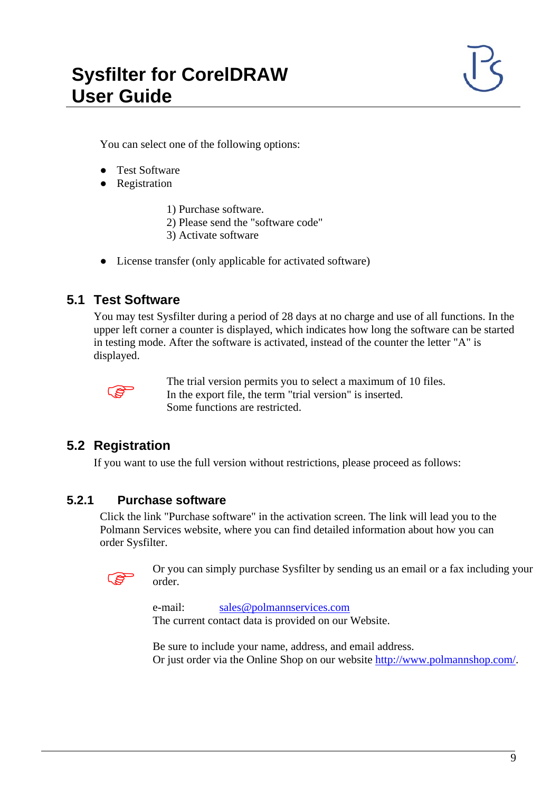You can select one of the following options:

- Test Software
- Registration
	- 1) Purchase software.
	- 2) Please send the "software code"
	- 3) Activate software
- License transfer (only applicable for activated software)

#### <span id="page-8-0"></span>**5.1 Test Software**

You may test Sysfilter during a period of 28 days at no charge and use of all functions. In the upper left corner a counter is displayed, which indicates how long the software can be started in testing mode. After the software is activated, instead of the counter the letter "A" is displayed.



 The trial version permits you to select a maximum of 10 files. In the export file, the term "trial version" is inserted. Some functions are restricted.

#### <span id="page-8-1"></span>**5.2 Registration**

If you want to use the full version without restrictions, please proceed as follows:

#### <span id="page-8-2"></span>**5.2.1 Purchase software**

Click the link "Purchase software" in the activation screen. The link will lead you to the Polmann Services website, where you can find detailed information about how you can order Sysfilter.



 Or you can simply purchase Sysfilter by sending us an email or a fax including your order.

e-mail: [sales@polmannservices.com](mailto:wpolmann@polmannservices.com) The current contact data is provided on our Website.

Be sure to include your name, address, and email address. Or just order via the Online Shop on our website [http://www.polmannshop.com/.](http://www.polmannshop.com/)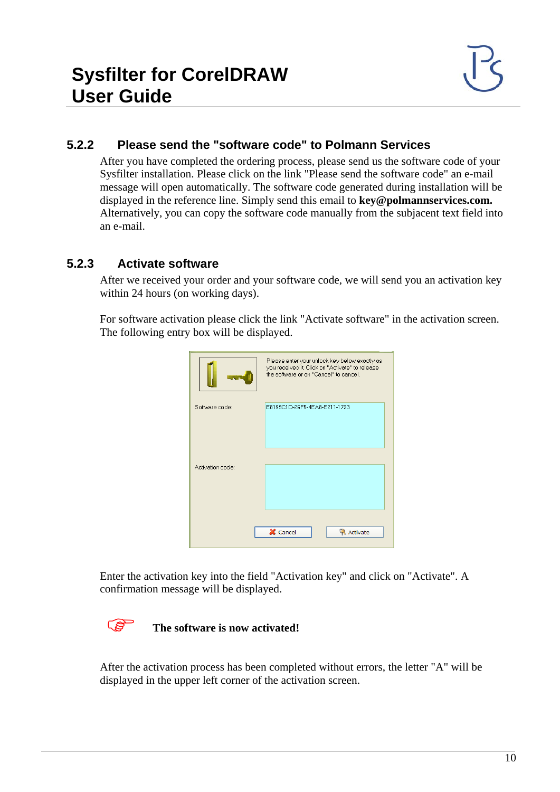#### <span id="page-9-0"></span>**5.2.2 Please send the "software code" to Polmann Services**

After you have completed the ordering process, please send us the software code of your Sysfilter installation. Please click on the link "Please send the software code" an e-mail message will open automatically. The software code generated during installation will be displayed in the reference line. Simply send this email to **key@polmannservices.com.** Alternatively, you can copy the software code manually from the subjacent text field into an e-mail.

#### <span id="page-9-1"></span>**5.2.3 Activate software**

After we received your order and your software code, we will send you an activation key within 24 hours (on working days).

For software activation please click the link "Activate software" in the activation screen. The following entry box will be displayed.

|                  | Please enter your unlock key below exactly as<br>you received it. Click on "Activate" to release<br>the software or on "Cancel" to cancel. |
|------------------|--------------------------------------------------------------------------------------------------------------------------------------------|
| Software code:   | E8199C1D-26F5-4EA8-E211-1723                                                                                                               |
| Activation code: |                                                                                                                                            |
|                  | X Cancel<br><b>R</b> Activate                                                                                                              |

Enter the activation key into the field "Activation key" and click on "Activate". A confirmation message will be displayed.

#### **The software is now activated!**

After the activation process has been completed without errors, the letter "A" will be displayed in the upper left corner of the activation screen.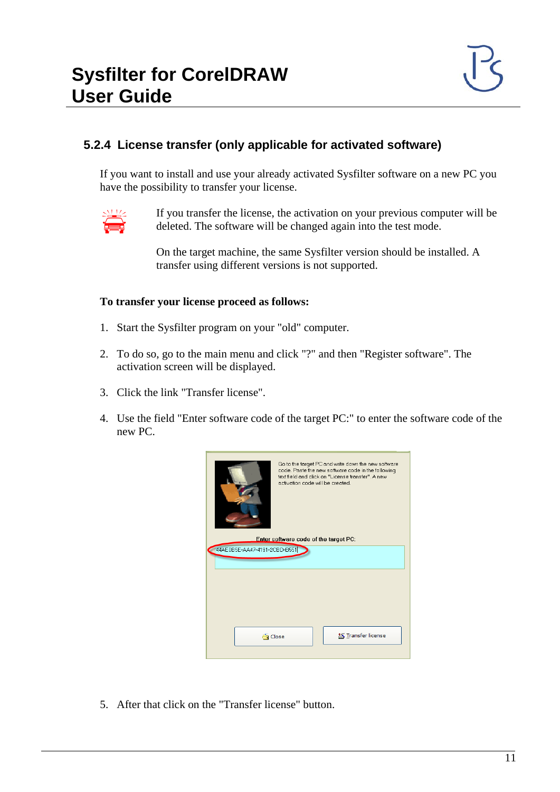#### <span id="page-10-0"></span>**5.2.4 License transfer (only applicable for activated software)**

If you want to install and use your already activated Sysfilter software on a new PC you have the possibility to transfer your license.



 If you transfer the license, the activation on your previous computer will be deleted. The software will be changed again into the test mode.

On the target machine, the same Sysfilter version should be installed. A transfer using different versions is not supported.

#### **To transfer your license proceed as follows:**

- 1. Start the Sysfilter program on your "old" computer.
- 2. To do so, go to the main menu and click "?" and then "Register software". The activation screen will be displayed.
- 3. Click the link "Transfer license".
- 4. Use the field "Enter software code of the target PC:" to enter the software code of the new PC.

| Go to the target PC and write down the new software<br>code. Paste the new software code in the following<br>text field and click on "License transfer". A new<br>activation code will be created. |                                       |                  |  |  |  |
|----------------------------------------------------------------------------------------------------------------------------------------------------------------------------------------------------|---------------------------------------|------------------|--|--|--|
|                                                                                                                                                                                                    | Enter software code of the target PC: |                  |  |  |  |
| 44AE0B5E-AA47-4191-2CBD-B551                                                                                                                                                                       |                                       |                  |  |  |  |
|                                                                                                                                                                                                    |                                       |                  |  |  |  |
|                                                                                                                                                                                                    |                                       |                  |  |  |  |
|                                                                                                                                                                                                    |                                       |                  |  |  |  |
|                                                                                                                                                                                                    |                                       |                  |  |  |  |
|                                                                                                                                                                                                    |                                       |                  |  |  |  |
|                                                                                                                                                                                                    |                                       |                  |  |  |  |
|                                                                                                                                                                                                    |                                       |                  |  |  |  |
| <b>⊖ Close</b>                                                                                                                                                                                     |                                       | Fransfer license |  |  |  |
|                                                                                                                                                                                                    |                                       |                  |  |  |  |
|                                                                                                                                                                                                    |                                       |                  |  |  |  |

5. After that click on the "Transfer license" button.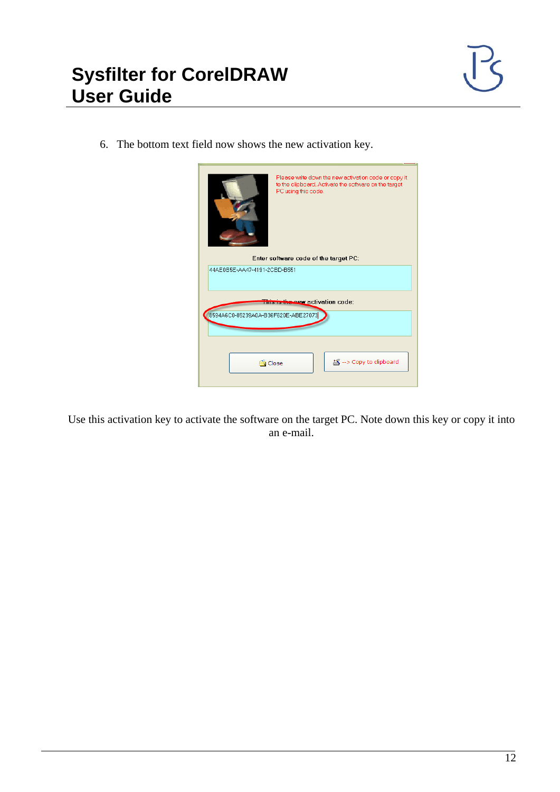6. The bottom text field now shows the new activation key.

| Please write down the new activation code or copy it<br>to the clipboard. Activate the software on the target<br>PC using this code.<br>Enter software code of the target PC: |                              |                         |  |  |  |
|-------------------------------------------------------------------------------------------------------------------------------------------------------------------------------|------------------------------|-------------------------|--|--|--|
|                                                                                                                                                                               | 44AE0B5E-AA47-4191-2CBD-B551 |                         |  |  |  |
| This is the new activation code:                                                                                                                                              |                              |                         |  |  |  |
| 8594A6C0-85239A0A-B36F620E-ABE27073                                                                                                                                           |                              |                         |  |  |  |
|                                                                                                                                                                               |                              |                         |  |  |  |
| <del>ක</del> ි Close                                                                                                                                                          |                              | 塔 --> Copy to clipboard |  |  |  |

Use this activation key to activate the software on the target PC. Note down this key or copy it into an e-mail.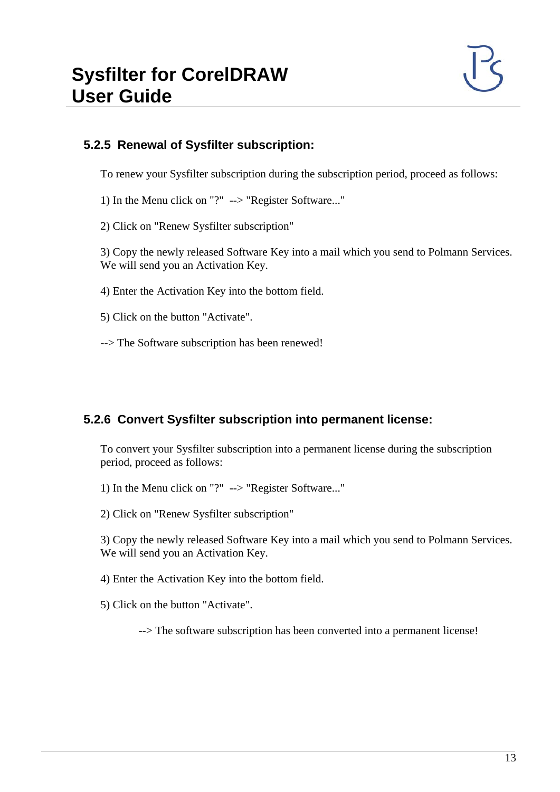#### <span id="page-12-0"></span>**5.2.5 Renewal of Sysfilter subscription:**

To renew your Sysfilter subscription during the subscription period, proceed as follows:

1) In the Menu click on "?" --> "Register Software..."

2) Click on "Renew Sysfilter subscription"

3) Copy the newly released Software Key into a mail which you send to Polmann Services. We will send you an Activation Key.

4) Enter the Activation Key into the bottom field.

5) Click on the button "Activate".

--> The Software subscription has been renewed!

#### <span id="page-12-1"></span>**5.2.6 Convert Sysfilter subscription into permanent license:**

To convert your Sysfilter subscription into a permanent license during the subscription period, proceed as follows:

1) In the Menu click on "?" --> "Register Software..."

2) Click on "Renew Sysfilter subscription"

3) Copy the newly released Software Key into a mail which you send to Polmann Services. We will send you an Activation Key.

4) Enter the Activation Key into the bottom field.

5) Click on the button "Activate".

--> The software subscription has been converted into a permanent license!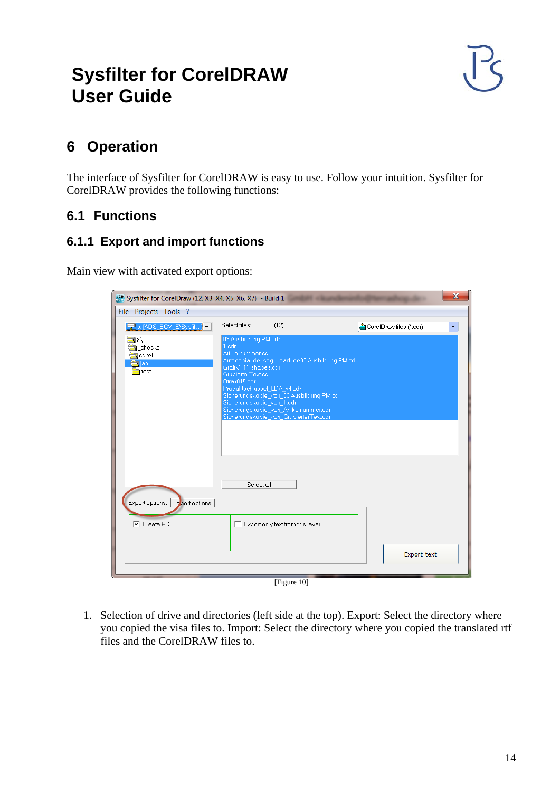# <span id="page-13-0"></span>**6 Operation**

The interface of Sysfilter for CorelDRAW is easy to use. Follow your intuition. Sysfilter for CorelDRAW provides the following functions:

#### <span id="page-13-1"></span>**6.1 Functions**

#### <span id="page-13-2"></span>**6.1.1 Export and import functions**

Main view with activated export options:

| $\overline{\mathbf{x}}$<br>sco Sysfilter for CorelDraw (12, X3, X4, X5, X6, X7) - Build 1          |                                                                                                                                                                                                                                                                                                                                                               |  |                         |  |  |
|----------------------------------------------------------------------------------------------------|---------------------------------------------------------------------------------------------------------------------------------------------------------------------------------------------------------------------------------------------------------------------------------------------------------------------------------------------------------------|--|-------------------------|--|--|
| File Projects Tools ?                                                                              |                                                                                                                                                                                                                                                                                                                                                               |  |                         |  |  |
| S' S: MDS_ECM_E\Sysfilt]                                                                           | Select files:<br>(12)                                                                                                                                                                                                                                                                                                                                         |  | CorelDraw files (*.cdr) |  |  |
| $\blacksquare$ s $\Lambda$<br><b>Checks</b><br>$\Box$ cdrx4<br><del>∰</del> ljan<br><b>in</b> test | 03 Ausbildung PM.cdr<br>1.cdr<br>Artikelnummer.cdr<br>Autocopia_de_sequridad_de03 Ausbildung PM.cdr<br>Grafik1-11 shapes.cdr<br>GrupierterText.cdr<br>Otrax015.cdr<br>Produktschlüssel_LDA_x4.cdr<br>Sicherungskopie_von_03 Ausbildung PM.cdr<br>Sicherungskopie_von_1.cdr<br>Sicherungskopie_von_Artikelnummer.cdr<br>Sicherungskopie_von_GrupierterText.cdr |  |                         |  |  |
| Export options:   Import options:  <br>$\overline{\mathsf{v}}$ Create PDF                          | Select all<br>Export only text from this layer:                                                                                                                                                                                                                                                                                                               |  | <b>Export text</b>      |  |  |
| [Figure $10$ ]                                                                                     |                                                                                                                                                                                                                                                                                                                                                               |  |                         |  |  |

1. Selection of drive and directories (left side at the top). Export: Select the directory where you copied the visa files to. Import: Select the directory where you copied the translated rtf files and the CorelDRAW files to.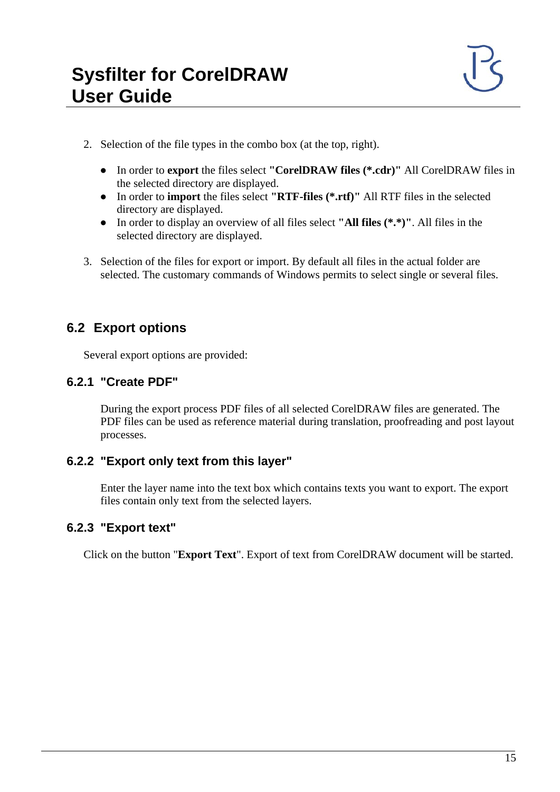- 2. Selection of the file types in the combo box (at the top, right).
	- In order to **export** the files select **"CorelDRAW files (\*.cdr)"** All CorelDRAW files in the selected directory are displayed.
	- In order to **import** the files select **"RTF-files (\*.rtf)"** All RTF files in the selected directory are displayed.
	- In order to display an overview of all files select **"All files (\*.\*)"**. All files in the selected directory are displayed.
- 3. Selection of the files for export or import. By default all files in the actual folder are selected. The customary commands of Windows permits to select single or several files.

#### <span id="page-14-0"></span>**6.2 Export options**

Several export options are provided:

#### <span id="page-14-1"></span>**6.2.1 "Create PDF"**

During the export process PDF files of all selected CorelDRAW files are generated. The PDF files can be used as reference material during translation, proofreading and post layout processes.

#### <span id="page-14-2"></span>**6.2.2 "Export only text from this layer"**

Enter the layer name into the text box which contains texts you want to export. The export files contain only text from the selected layers.

#### <span id="page-14-3"></span>**6.2.3 "Export text"**

Click on the button "**Export Text**". Export of text from CorelDRAW document will be started.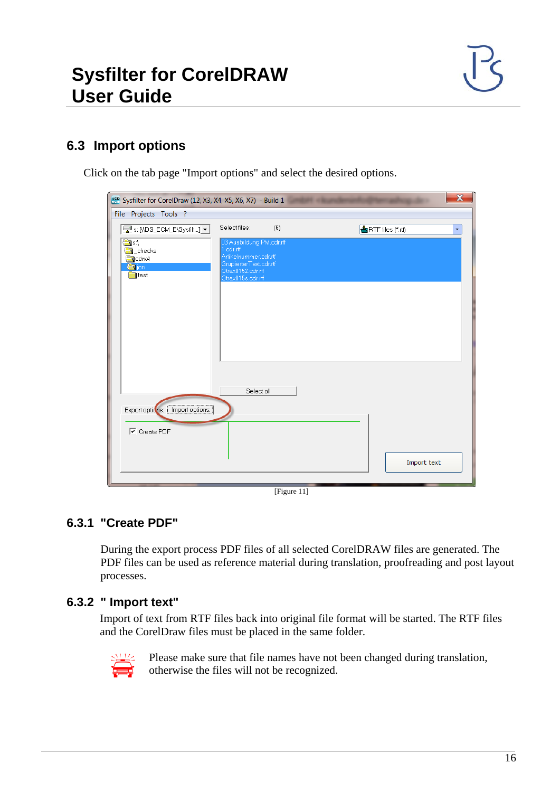#### <span id="page-15-0"></span>**6.3 Import options**

Click on the tab page "Import options" and select the desired options.

| $\mathbf x$<br>See Sysfilter for CorelDraw (12, X3, X4, X5, X6, X7) - Build 1                         |                                                                                                                                    |  |                            |  |  |
|-------------------------------------------------------------------------------------------------------|------------------------------------------------------------------------------------------------------------------------------------|--|----------------------------|--|--|
| File Projects Tools ?                                                                                 |                                                                                                                                    |  |                            |  |  |
| E s: [\\DS_ECM_E\Sysfilt] ▼                                                                           | Select files:<br>(6)                                                                                                               |  | <b>合</b> RTF files (*.rtf) |  |  |
| $\bigcirc$<br><b>S</b> _checks<br>$\blacksquare$ cdrx4<br><mark>≝a</mark> ljan<br>$\blacksquare$ test | 03 Ausbildung PM.cdr.rtf<br>1.cdr.rtf<br>Artikelnummer.cdr.rtf<br>GrupierterText.cdr.rtf<br>Otrax0152.cdr.rtf<br>Otrax015s.cdr.rtf |  |                            |  |  |
|                                                                                                       |                                                                                                                                    |  |                            |  |  |
|                                                                                                       | Select all                                                                                                                         |  |                            |  |  |
| Export options:   Import options:                                                                     |                                                                                                                                    |  |                            |  |  |
| $\boxed{\mathbf{v}}$ Create PDF                                                                       |                                                                                                                                    |  |                            |  |  |
|                                                                                                       |                                                                                                                                    |  | Import text                |  |  |
|                                                                                                       |                                                                                                                                    |  |                            |  |  |

[Figure 11]

#### <span id="page-15-1"></span>**6.3.1 "Create PDF"**

During the export process PDF files of all selected CorelDRAW files are generated. The PDF files can be used as reference material during translation, proofreading and post layout processes.

#### <span id="page-15-2"></span>**6.3.2 " Import text"**

Import of text from RTF files back into original file format will be started. The RTF files and the CorelDraw files must be placed in the same folder.



 Please make sure that file names have not been changed during translation, otherwise the files will not be recognized.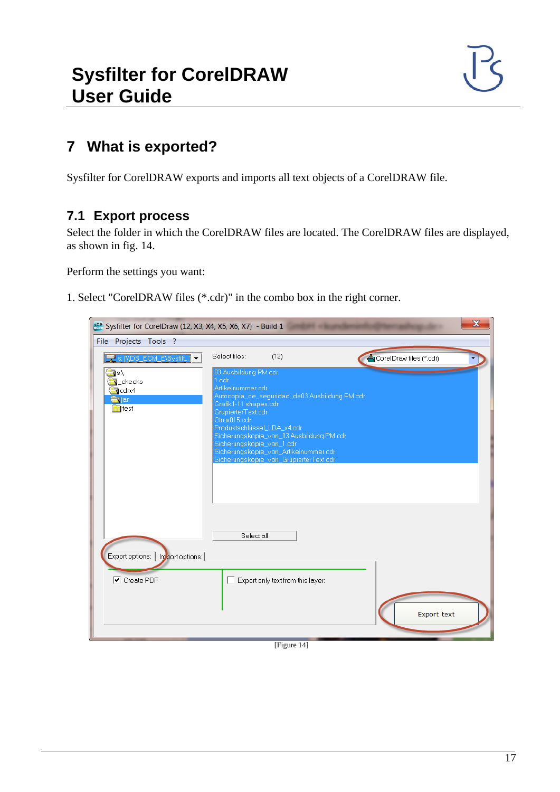# <span id="page-16-0"></span>**7 What is exported?**

Sysfilter for CorelDRAW exports and imports all text objects of a CorelDRAW file.

#### <span id="page-16-1"></span>**7.1 Export process**

Select the folder in which the CorelDRAW files are located. The CorelDRAW files are displayed, as shown in fig. 14.

Perform the settings you want:

1. Select "CorelDRAW files (\*.cdr)" in the combo box in the right corner.

| sco. Sysfilter for CorelDraw (12, X3, X4, X5, X6, X7) - Build 1                  |                                                                                                                                                                                                                                                                                                                                                               | $\overline{\mathbf{x}}$ |
|----------------------------------------------------------------------------------|---------------------------------------------------------------------------------------------------------------------------------------------------------------------------------------------------------------------------------------------------------------------------------------------------------------------------------------------------------------|-------------------------|
| File Projects Tools ?                                                            |                                                                                                                                                                                                                                                                                                                                                               |                         |
| S' & NDS_ECM_E\Sysfilt]                                                          | Select files:<br>(12)                                                                                                                                                                                                                                                                                                                                         | CorelDraw files (*.cdr) |
| <b>Sil</b> s:\<br><b>N</b> _checks<br>alcdrx4<br><b>en</b> jan<br><b>is test</b> | 03 Ausbildung PM.cdr<br>1.cdr<br>Artikelnummer.cdr<br>Autocopia_de_sequridad_de03 Ausbildung PM.cdr<br>Grafik1-11 shapes.cdr<br>GrupierterText.cdr<br>Otrax015.cdr<br>Produktschlüssel_LDA_x4.cdr<br>Sicherungskopie_von_03 Ausbildung PM.cdr<br>Sicherungskopie_von_1.cdr<br>Sicherungskopie_von_Artikelnummer.cdr<br>Sicherungskopie_von_GrupierterText.cdr |                         |
|                                                                                  | Select all                                                                                                                                                                                                                                                                                                                                                    |                         |
| Export options:<br>Import options:                                               |                                                                                                                                                                                                                                                                                                                                                               |                         |
| $\overline{\triangledown}$ Create PDF                                            | Export only text from this layer:                                                                                                                                                                                                                                                                                                                             | Export text             |
|                                                                                  | [Figure 14]                                                                                                                                                                                                                                                                                                                                                   |                         |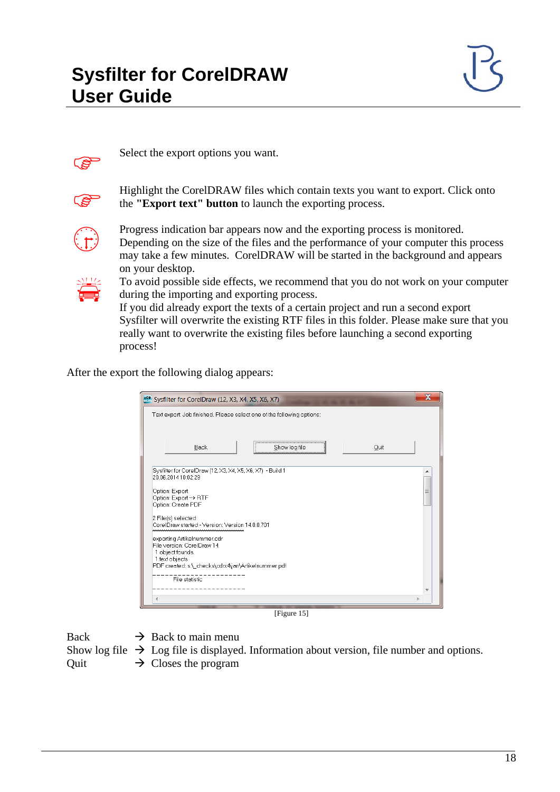

Select the export options you want.



 Highlight the CorelDRAW files which contain texts you want to export. Click onto the **"Export text" button** to launch the exporting process.



Progress indication bar appears now and the exporting process is monitored.<br>Depending on the size of the files and the performance of your computer this may take a few minutes. CorelDRAW will be started in the background a Depending on the size of the files and the performance of your computer this process may take a few minutes. CorelDRAW will be started in the background and appears on your desktop.



 To avoid possible side effects, we recommend that you do not work on your computer during the importing and exporting process.

If you did already export the texts of a certain project and run a second export Sysfilter will overwrite the existing RTF files in this folder. Please make sure that you really want to overwrite the existing files before launching a second exporting process!

After the export the following dialog appears:

| sco Sysfilter for CorelDraw (12, X3, X4, X5, X6, X7)                                                                                                   |  |  |  |  |
|--------------------------------------------------------------------------------------------------------------------------------------------------------|--|--|--|--|
| Text export: Job finished. Please select one of the following options:                                                                                 |  |  |  |  |
|                                                                                                                                                        |  |  |  |  |
| <b>Back</b><br>Quit<br>Show log file                                                                                                                   |  |  |  |  |
| Sysfilter for CorelDraw (12, X3, X4, X5, X6, X7) - Build 1<br>20.06.201410:02:29                                                                       |  |  |  |  |
| Option: Export<br>Option: Export -> RTF<br>Option: Create PDF                                                                                          |  |  |  |  |
| 2 File(s) selected<br>CorelDraw started - Version: Version 14.0.0.701                                                                                  |  |  |  |  |
| exporting Artikelnummer.cdr<br>File version: CorelDraw 14<br>1 object founds.<br>1 text objects<br>PDF created: s:\_checks\cdrx4\jan\Artikelnummer.pdf |  |  |  |  |
| File statistic                                                                                                                                         |  |  |  |  |
|                                                                                                                                                        |  |  |  |  |
|                                                                                                                                                        |  |  |  |  |

[Figure 15]

Back  $\rightarrow$  Back to main menu

Show log file  $\rightarrow$  Log file is displayed. Information about version, file number and options.

Quit  $\rightarrow$  Closes the program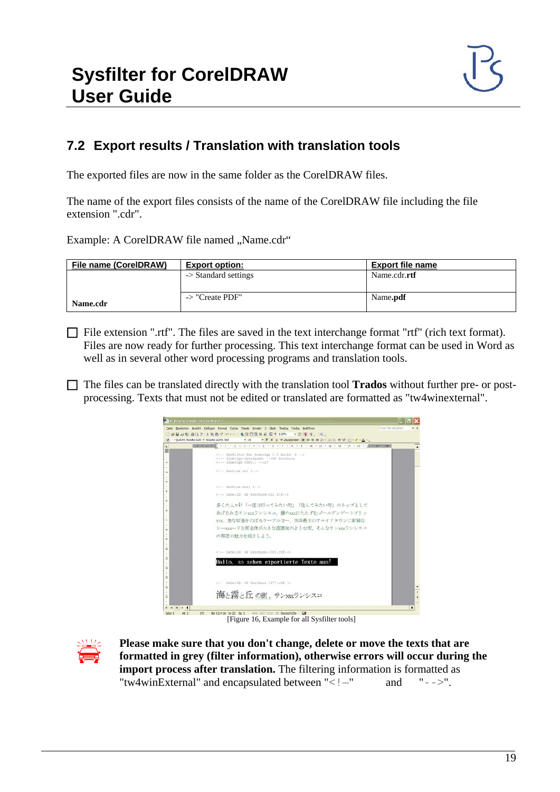#### <span id="page-18-0"></span>**7.2 Export results / Translation with translation tools**

The exported files are now in the same folder as the CorelDRAW files.

The name of the export files consists of the name of the CorelDRAW file including the file extension ".cdr".

Example: A CorelDRAW file named "Name.cdr"

| File name (CorelDRAW) | <b>Export option:</b>           | <b>Export file name</b> |
|-----------------------|---------------------------------|-------------------------|
|                       | $\rightarrow$ Standard settings | Name.cdr.rtf            |
|                       |                                 |                         |
|                       | -> "Create PDF"                 | Name. <b>pdf</b>        |
| Name.cdr              |                                 |                         |

File extension ".rtf". The files are saved in the text interchange format "rtf" (rich text format). Files are now ready for further processing. This text interchange format can be used in Word as well as in several other word processing programs and translation tools.

 The files can be translated directly with the translation tool **Trados** without further pre- or postprocessing. Texts that must not be edited or translated are formatted as "tw4winexternal".



[Figure 16, Example for all Sysfilter tools]



**Please make sure that you don't change, delete or move the texts that are formatted in grey** (filter information), otherwise errors will occur during import process ofter translation. The filtering information is format **formatted in grey (filter information), otherwise errors will occur during the import process after translation.** The filtering information is formatted as "tw4winExternal" and encapsulated between "< $! -$ " and "-->".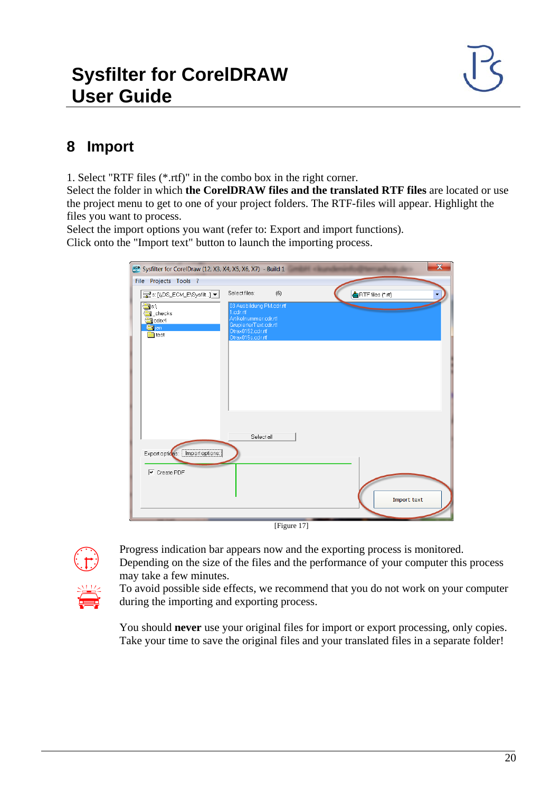# <span id="page-19-0"></span>**8 Import**

1. Select "RTF files (\*.rtf)" in the combo box in the right corner.

Select the folder in which **the CorelDRAW files and the translated RTF files** are located or use the project menu to get to one of your project folders. The RTF-files will appear. Highlight the files you want to process.

Select the import options you want (refer to: Export and import functions). Click onto the "Import text" button to launch the importing process.

| Sysfilter for CorelDraw (12, X3, X4, X5, X6, X7) - Build 1                                                                                                          |                                                                                                                                                            | $\overline{\mathbf{x}}$ |
|---------------------------------------------------------------------------------------------------------------------------------------------------------------------|------------------------------------------------------------------------------------------------------------------------------------------------------------|-------------------------|
| File Projects Tools ?<br>B s: [\DS_ECM_E\Sysfilt] ▼<br>$\frac{1}{\sqrt{2}}$ s.\<br><b>Conduction</b><br>$\bigoplus$ cdrx4<br><b>Ca</b> jan<br>$\blacksquare$ ] test | Select files:<br>(6)<br>03 Ausbildung PM.cdr.rtf<br>1.cdr.rtf<br>Artikelnummer.cdr.rtf<br>GrupierterText.cdr.rtf<br>Otrax0152.cdr.rtf<br>Otrax015s.cdr.rtf | RTF files (*.rtf)       |
| Export options:   Import options:<br>$\overline{\mathsf{v}}$ Create PDF                                                                                             | Select all                                                                                                                                                 | Import text             |

[Figure 17]



 Progress indication bar appears now and the exporting process is monitored. Depending on the size of the files and the performance of your computer this process may take a few minutes.

 To avoid possible side effects, we recommend that you do not work on your computer during the importing and exporting process.

You should **never** use your original files for import or export processing, only copies. Take your time to save the original files and your translated files in a separate folder!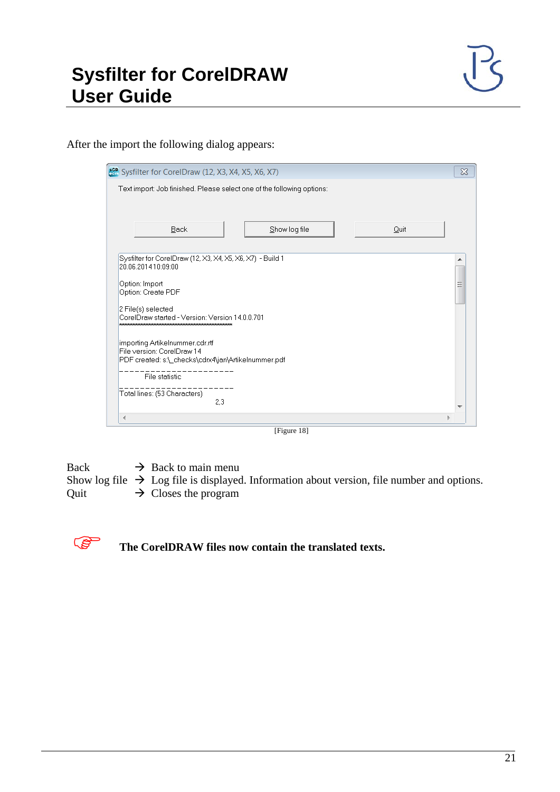After the import the following dialog appears:

| sca. Sysfilter for CorelDraw (12, X3, X4, X5, X6, X7)                                                                | $\infty$ |
|----------------------------------------------------------------------------------------------------------------------|----------|
| Text import: Job finished. Please select one of the following options:                                               |          |
|                                                                                                                      |          |
| Show log file<br>Back<br>Quit                                                                                        |          |
|                                                                                                                      |          |
| Sysfilter for CorelDraw (12, X3, X4, X5, X6, X7) - Build 1<br>20.06.201410:09:00                                     |          |
| Option: Import<br>Option: Create PDF                                                                                 | Ξ        |
| 2 File(s) selected<br>CorelDraw started - Version: Version 14.0.0.701                                                |          |
| importing Artikelnummer.cdr.rtf<br>File version: CorelDraw 14<br>PDF created: s:\_checks\cdrx4\jan\Artikelnummer.pdf |          |
| File statistic                                                                                                       |          |
| Total lines: (53 Characters)<br>2.3                                                                                  |          |
|                                                                                                                      |          |

[Figure 18]

Back  $\rightarrow$  Back to main menu Show log file  $\rightarrow$  Log file is displayed. Information about version, file number and options.<br>Quit  $\rightarrow$  Closes the program  $\rightarrow$  Closes the program



**The CorelDRAW files now contain the translated texts.**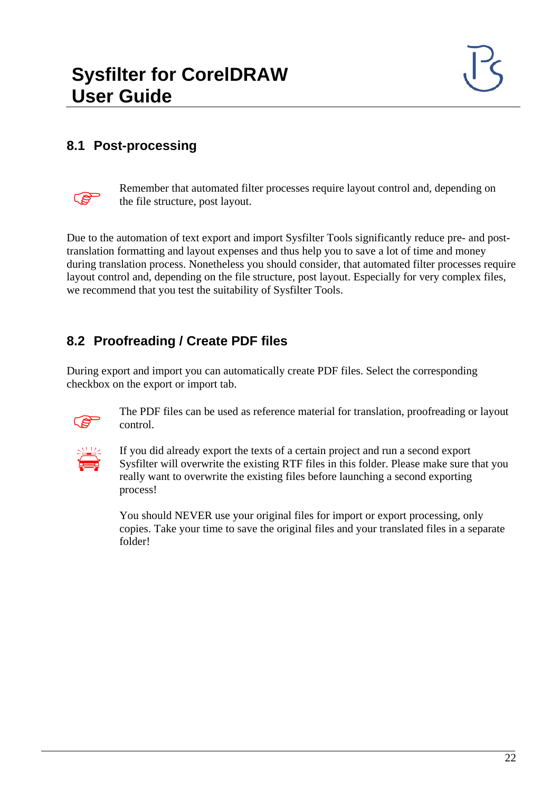#### <span id="page-21-0"></span>**8.1 Post-processing**



Remember that automated filter processes require layout control and, depending on the file structure post layout the file structure, post layout.

Due to the automation of text export and import Sysfilter Tools significantly reduce pre- and posttranslation formatting and layout expenses and thus help you to save a lot of time and money during translation process. Nonetheless you should consider, that automated filter processes require layout control and, depending on the file structure, post layout. Especially for very complex files, we recommend that you test the suitability of Sysfilter Tools.

#### <span id="page-21-1"></span>**8.2 Proofreading / Create PDF files**

During export and import you can automatically create PDF files. Select the corresponding checkbox on the export or import tab.



 The PDF files can be used as reference material for translation, proofreading or layout control.



 If you did already export the texts of a certain project and run a second export Sysfilter will overwrite the existing RTF files in this folder. Please make sure that you really want to overwrite the existing files before launching a second exporting process!

You should NEVER use your original files for import or export processing, only copies. Take your time to save the original files and your translated files in a separate folder!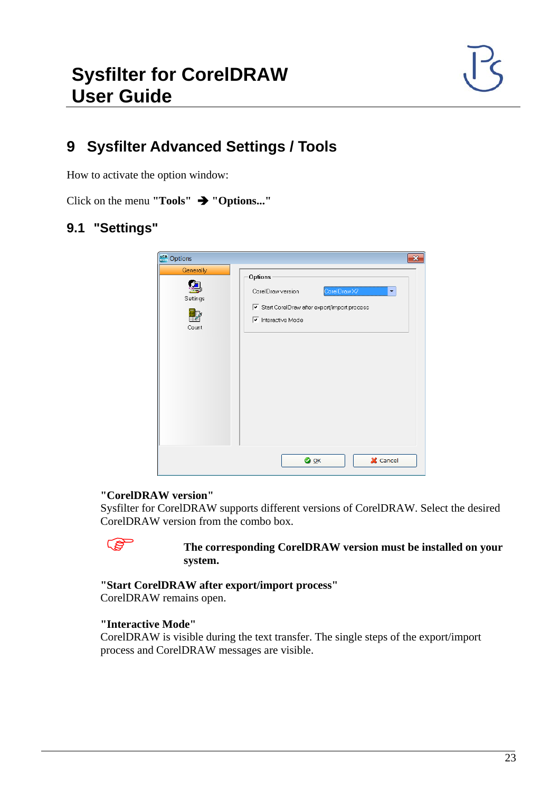# <span id="page-22-0"></span>**9 Sysfilter Advanced Settings / Tools**

How to activate the option window:

Click on the menu **"Tools" "Options..."**

#### <span id="page-22-1"></span>**9.1 "Settings"**

| sco Options                    | $\mathbf{x}$                                                                                                                                 |
|--------------------------------|----------------------------------------------------------------------------------------------------------------------------------------------|
| Generally<br>Settings<br>Count | Options<br>CorelDraw X7<br>CorelDraw version<br>۳<br>Start CorelDraw after export/import process<br>$\overline{\mathbf{v}}$ Interactive Mode |
|                                | X Cancel<br>$\bullet$ OK                                                                                                                     |

#### **"CorelDRAW version"**

Sysfilter for CorelDRAW supports different versions of CorelDRAW. Select the desired CorelDRAW version from the combo box.

#### **The corresponding CorelDRAW version must be installed on your system.**

**"Start CorelDRAW after export/import process"**

CorelDRAW remains open.

#### **"Interactive Mode"**

CorelDRAW is visible during the text transfer. The single steps of the export/import process and CorelDRAW messages are visible.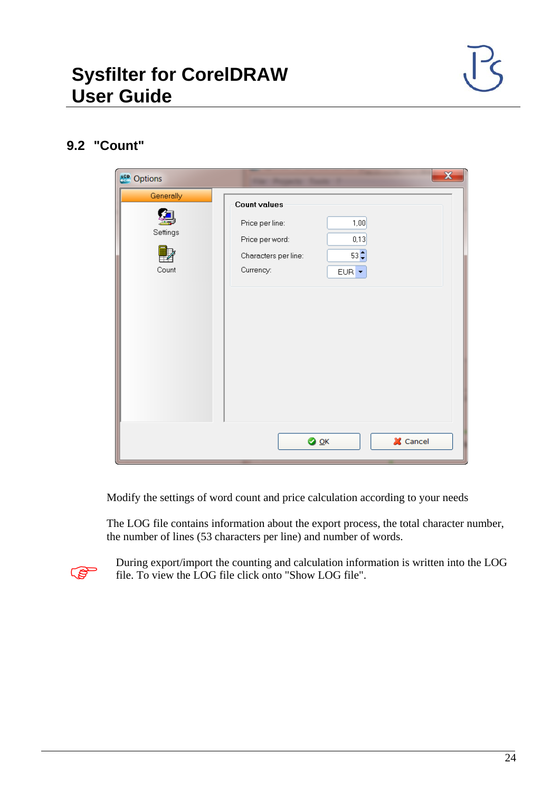#### <span id="page-23-0"></span>**9.2 "Count"**

| <b>scp</b> Options             | $\overline{\mathbf{x}}$                                                                                                                      |
|--------------------------------|----------------------------------------------------------------------------------------------------------------------------------------------|
| Generally<br>Settings<br>Count | <b>Count values</b><br>Price per line:<br>1,00<br>0,13<br>Price per word:<br>$53 -$<br>Characters per line:<br>Currency:<br>EUR <sup>+</sup> |
|                                | X Cancel<br>$\bullet$ ok                                                                                                                     |

Modify the settings of word count and price calculation according to your needs

The LOG file contains information about the export process, the total character number, the number of lines (53 characters per line) and number of words.



During export/import the counting and calculation information is written into the LOG  $\overline{5}$ file. To view the LOG file click onto "Show LOG file".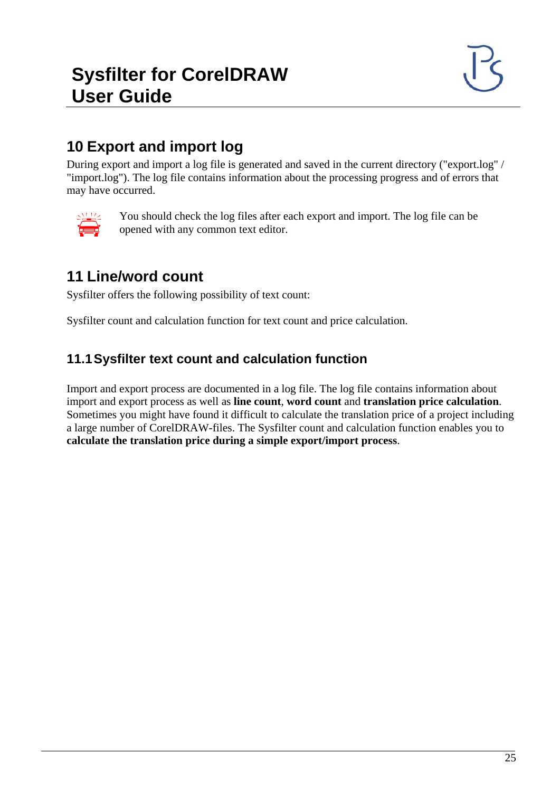# <span id="page-24-0"></span>**10 Export and import log**

During export and import a log file is generated and saved in the current directory ("export.log" / "import.log"). The log file contains information about the processing progress and of errors that may have occurred.



 You should check the log files after each export and import. The log file can be opened with any common text editor.

# <span id="page-24-1"></span>**11 Line/word count**

Sysfilter offers the following possibility of text count:

Sysfilter count and calculation function for text count and price calculation.

#### <span id="page-24-2"></span>**11.1Sysfilter text count and calculation function**

Import and export process are documented in a log file. The log file contains information about import and export process as well as **line count**, **word count** and **translation price calculation**. Sometimes you might have found it difficult to calculate the translation price of a project including a large number of CorelDRAW-files. The Sysfilter count and calculation function enables you to **calculate the translation price during a simple export/import process**.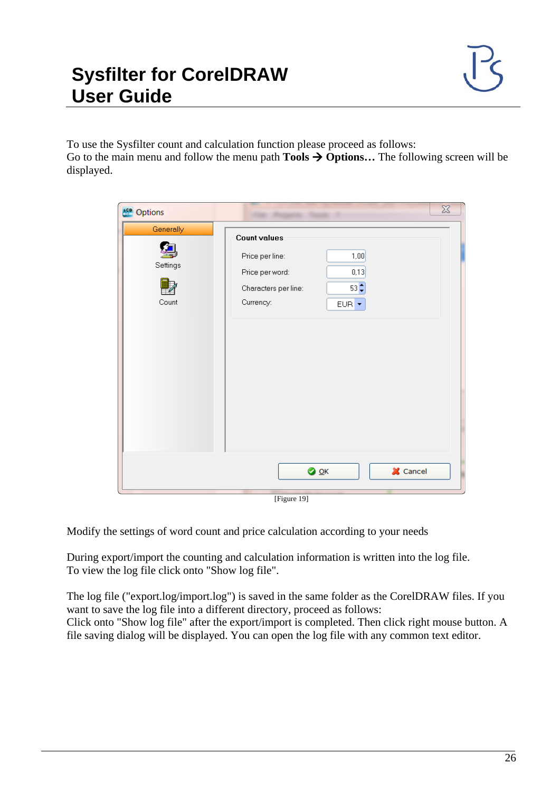To use the Sysfilter count and calculation function please proceed as follows: Go to the main menu and follow the menu path **Tools**  $\rightarrow$  **Options...** The following screen will be displayed.

| <b>sca</b> Options             | $\chi$                                                                                                                                       |
|--------------------------------|----------------------------------------------------------------------------------------------------------------------------------------------|
| Generally<br>Settings<br>Count | <b>Count values</b><br>Price per line:<br>1,00<br>0,13<br>Price per word:<br>$53 -$<br>Characters per line:<br>Currency:<br>EUR <sup>-</sup> |
|                                | X Cancel<br>$\bullet$ OK                                                                                                                     |
|                                | [Figure 19]                                                                                                                                  |

Modify the settings of word count and price calculation according to your needs

During export/import the counting and calculation information is written into the log file. To view the log file click onto "Show log file".

The log file ("export.log/import.log") is saved in the same folder as the CorelDRAW files. If you want to save the log file into a different directory, proceed as follows: Click onto "Show log file" after the export/import is completed. Then click right mouse button. A file saving dialog will be displayed. You can open the log file with any common text editor.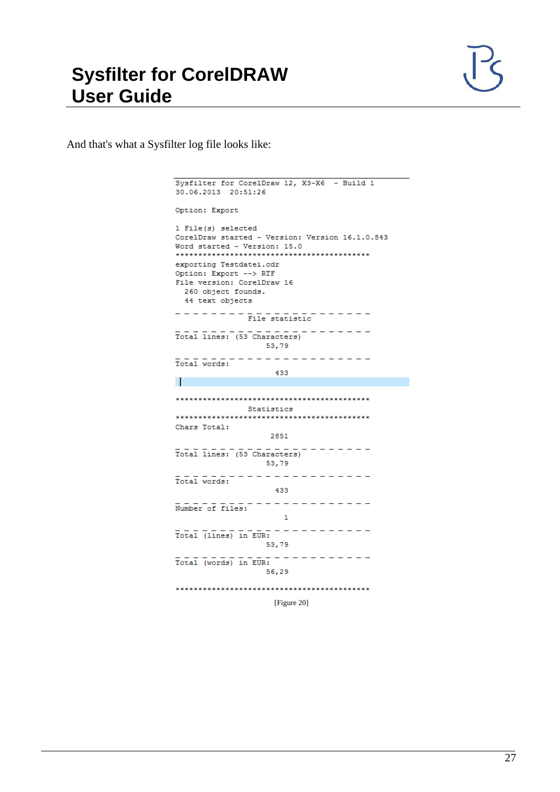

And that's what a Sysfilter log file looks like:

```
Sysfilter for CorelDraw 12, X3-X6 - Build 1
30.06.2013 20:51:26
Option: Export
1 File(s) selected
CorelDraw started - Version: Version 16.1.0.843
Word started - Version: 15.0
exporting Testdatei.cdr
Option: Export --> RTF
File version: CorelDraw 16
   260 object founds.
   44 text objects
\overline{\mathtt{Total lines}}: \overline{(\mathtt{53\,Characters})} \hspace{2.5cm} \overline{\mathtt{10}} \hspace{2.5cm} \overline{\mathtt{11}} \hspace{2.5cm} \overline{\mathtt{21}} \hspace{2.5cm} \overline{\mathtt{22}} \hspace{2.5cm} \overline{\mathtt{23}} \hspace{2.5cm} \overline{\mathtt{24}} \hspace{2.5cm} \overline{\mathtt{25}} \hspace{2.5cm} \overline{\mathtt{26}} \hspace{2.5cm} \overline{\mathtt{27}} \hspace{2.5cm} \overline{\mathtt{28}} \hspace53,79
53,79<br>Total words:
                                     433
\mathbf{I}Statistics
Chars Total:
                                  2851
Total lines: (53 Characters) - - - - - - - -53,79
\frac{1}{\text{Total words:}}433
\mathbf 153,79
\overline{\mathtt{Total}}\ \overline{(\mathtt{words})}\ \overline{\mathtt{in}}\ \overline{\mathtt{EUR}}\colon\overline{\mathtt{---}}\ \overline{\mathtt{---}}\ \overline{\mathtt{---}}\ \overline{\mathtt{---}}\ \overline{\mathtt{---}}\ \overline{\mathtt{---}}\ \overline{\mathtt{---}}\ \overline{\mathtt{---}}\ \overline{\mathtt{---}}\ \overline{\mathtt{---}}\ \overline{\mathtt{---}}\ \overline{\mathtt{---}}\ \overline{\mathtt{---}}\ \overline{\mathtt{---}}\ \overline{\mathtt{---}}\ \overline{\mathtt{---}}\ \overline{\mathtt{---}}\ \overline{\mathtt{---56,29
```
[Figure 20]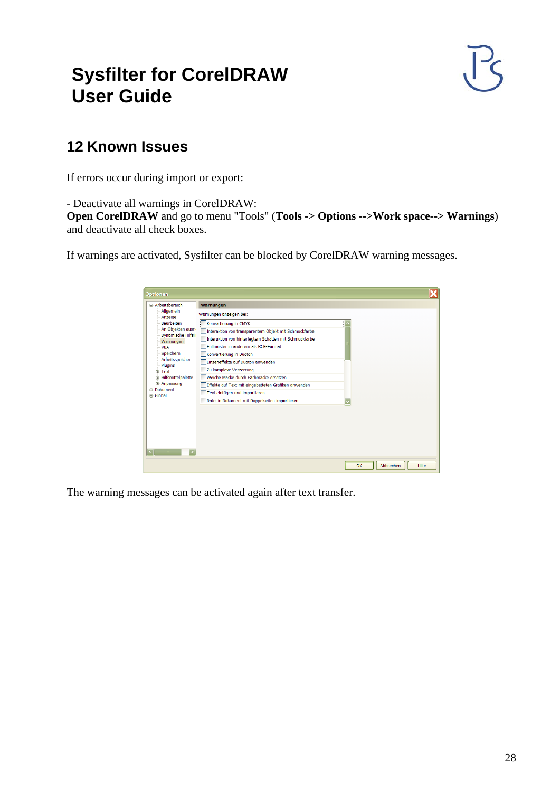#### <span id="page-27-0"></span>**12 Known Issues**

If errors occur during import or export:

- Deactivate all warnings in CorelDRAW:

**Open CorelDRAW** and go to menu "Tools" (**Tools -> Options -->Work space--> Warnings**) and deactivate all check boxes.

If warnings are activated, Sysfilter can be blocked by CorelDRAW warning messages.

| Arheitsbereich                                                                                                                                                                                                                                                                                                 | Warnungen                                                                                                                                                                                                                                                                                                                                                                                                                                                                                 |                          |
|----------------------------------------------------------------------------------------------------------------------------------------------------------------------------------------------------------------------------------------------------------------------------------------------------------------|-------------------------------------------------------------------------------------------------------------------------------------------------------------------------------------------------------------------------------------------------------------------------------------------------------------------------------------------------------------------------------------------------------------------------------------------------------------------------------------------|--------------------------|
| Allgemein<br>Anzeige<br><b>Bearbeiten</b><br>An Objekten ausri<br>Dynamische Hilfsli<br>Warnungen<br><b>VBA</b><br>Speichern<br>Arbeitsspeicher<br>Plugins<br><b>E</b> -Text<br><b>E</b> -Hilfsmittelpalette<br><b>Anpassung</b><br>Dokument<br>Ŵ<br><b>Global</b><br>$\overline{\phantom{a}}$<br><b>TITLE</b> | Warnungen anzeigen bei:<br>Konvertierung in CMYK<br>Interaktion von transparentem Objekt mit Schmuckfarbe<br>Interaktion von hinterlegtem Schatten mit Schmuckfarbe<br>Füllmuster in anderem als RGB-Format<br>Konvertierung in Duoton<br>Linseneffekte auf Duoton anwenden<br>Zu komplexe Verzerrung<br>Weiche Maske durch Farbmaske ersetzen<br>Effekte auf Text mit eingebetteten Grafiken anwenden<br>Text einfügen und importieren<br>Datei in Dokument mit Doppelseiten importieren |                          |
|                                                                                                                                                                                                                                                                                                                |                                                                                                                                                                                                                                                                                                                                                                                                                                                                                           | Abbrechen<br>OK<br>Hilfe |

The warning messages can be activated again after text transfer.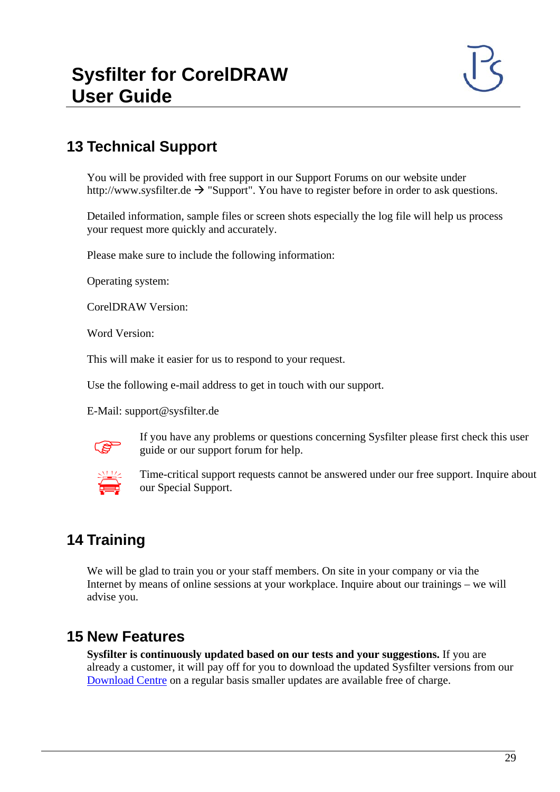# <span id="page-28-0"></span>**13 Technical Support**

You will be provided with free support in our Support Forums on our website under http://www.sysfilter.de  $\rightarrow$  "Support". You have to register before in order to ask questions.

Detailed information, sample files or screen shots especially the log file will help us process your request more quickly and accurately.

Please make sure to include the following information:

Operating system:

CorelDRAW Version:

Word Version:

This will make it easier for us to respond to your request.

Use the following e-mail address to get in touch with our support.

E-Mail: support@sysfilter.de



 If you have any problems or questions concerning Sysfilter please first check this user guide or our support forum for help.



 Time-critical support requests cannot be answered under our free support. Inquire about our Special Support.

# <span id="page-28-1"></span>**14 Training**

We will be glad to train you or your staff members. On site in your company or via the Internet by means of online sessions at your workplace. Inquire about our trainings – we will advise you.

#### <span id="page-28-2"></span>**15 New Features**

**Sysfilter is continuously updated based on our tests and your suggestions.** If you are already a customer, it will pay off for you to download the updated Sysfilter versions from our [Download Centre](http://www.polmannshop.com/ware/en/content/24-sysfilter-downloads) on a regular basis smaller updates are available free of charge.